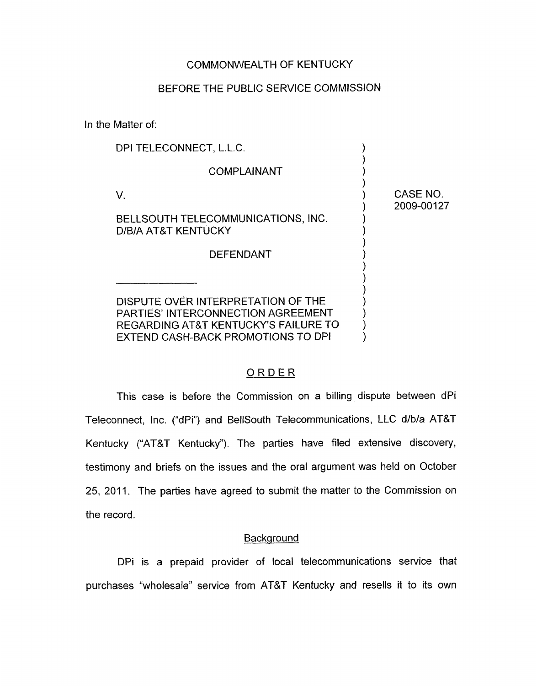### COMMONWEALTH OF KENTUCKY

#### BEFORE THE PUBLIC SERVICE COMMISSION

In the Matter of:

| DPI TELECONNECT, L.L.C.                                                               |                        |
|---------------------------------------------------------------------------------------|------------------------|
| <b>COMPLAINANT</b>                                                                    |                        |
| V.                                                                                    | CASE NO.<br>2009-00127 |
| BELLSOUTH TELECOMMUNICATIONS, INC.<br>D/B/A AT&T KENTUCKY                             |                        |
| <b>DEFENDANT</b>                                                                      |                        |
|                                                                                       |                        |
| DISPUTE OVER INTERPRETATION OF THE<br><b>PARTIES' INTERCONNECTION AGREEMENT</b>       |                        |
| <b>REGARDING AT&amp;T KENTUCKY'S FAILURE TO</b><br>EXTEND CASH-BACK PROMOTIONS TO DPI |                        |

# ORDER

This case is before the Commission on a billing dispute between dPi Teleconnect, Inc. ("dPi") and BellSouth Telecommunications, LLC d/b/a AT&T Kentucky ("AT&T Kentucky"). The parties have filed extensive discovery, testimony and briefs on the issues and the oral argument was held on October 25, 2011. The parties have agreed to submit the matter to the Commission on the record.

### **Background**

DPi is a prepaid provider of local telecommunications service that purchases "wholesale" service from AT&T Kentucky and resells it to its own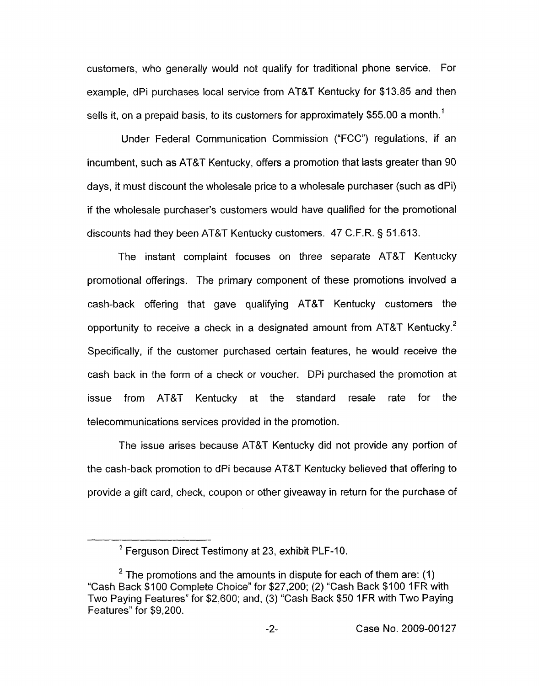customers, who generally would not qualify for traditional phone service. For example, dPi purchases local service from AT&T Kentucky for \$13.85 and then sells it, on a prepaid basis, to its customers for approximately \$55.00 a month.<sup>1</sup>

Under Federal Communication Commission ("FCC") regulations, if an incumbent, such as AT&T Kentucky, offers a promotion that lasts greater than 90 days, it must discount the wholesale price to a wholesale purchaser (such as dPi) if the wholesale purchaser's customers would have qualified for the promotional discounts had they been AT&T Kentucky customers. 47 C.F.R. § 51.613.

The instant complaint focuses **on** three separate AT&T Kentucky promotional offerings. The primary component of these promotions involved a cash-back offering that gave qualifying AT&T Kentucky customers the opportunity to receive a check in a designated amount from AT&T Kentucky.<sup>2</sup> Specifically, if the customer purchased certain features, he would receive the cash back in the form of a check or voucher. DPi purchased the promotion at issue from AT&T Kentucky at the standard resale rate for the telecommunications services provided in the promotion.

The issue arises because AT&T Kentucky did not provide any portion of the cash-back promotion to dPi because AT&T Kentucky believed that offering to provide a gift card, check, coupon or other giveaway in return for the purchase of

<sup>&</sup>lt;sup>1</sup> Ferguson Direct Testimony at 23, exhibit PLF-10.

 $2^2$  The promotions and the amounts in dispute for each of them are: (1) "Cash Back \$100 Complete Choice" for \$27,200; (2) "Cash Back \$100 1FR with Two Paying Features" for \$2,600; and, (3) "Cash Back \$50 1FR with Two Paying Features" for \$9,200.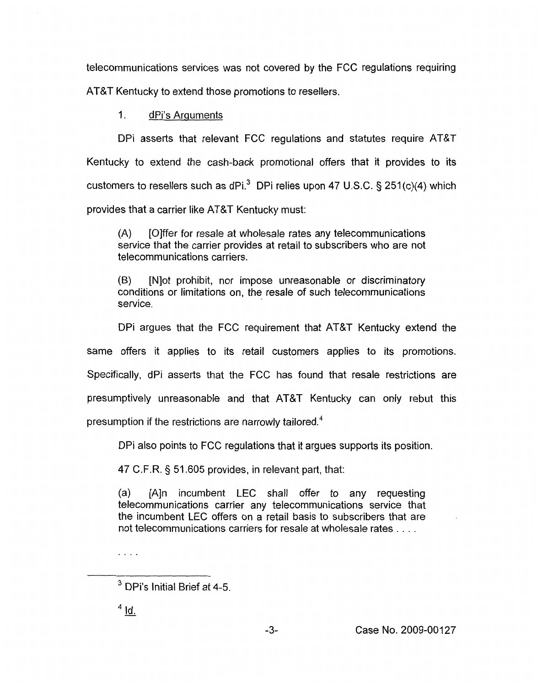telecommunications services was not covered by the FCC regulations requiring

AT&T Kentucky to extend those promotions to resellers.

1. dPi's Arguments

DPi asserts that relevant FCC regulations and statutes require AT&T Kentucky to extend the cash-back promotional offers that it provides to its customers to resellers such as dPi.3 DPi relies upon 47 U.S.C. **5** 251 (c)(4) which provides that a carrier like AT&T Kentucky must:

(A) [Olffer for resale at wholesale rates any telecommunications service that the carrier provides at retail to subscribers who are not telecommunications carriers.

(B) [Nlot prohibit, nor impose unreasonable or discriminatory conditions or limitations on, the resale of such telecommunications service.

DPi argues that the FCC requirement that AT&T Kentucky extend the same offers it applies to its retail customers applies to its promotions. Specifically, dPi asserts that the FCC has found that resale restrictions are presumptively unreasonable and that AT&T Kentucky can only rebut this presumption if the restrictions are narrowly tailored. $4$ 

DPi also points to FCC regulations that it argues supports its position.

47 C.F.R. 5 51.605 provides, in relevant part, that:

(a) [A]n incumbent LEC shall offer to any requesting telecommunications carrier any telecommunications service that the incumbent LEC offers on a retail basis to subscribers that are not telecommunications carriers for resale at wholesale rates . . . .

"...

 $<sup>4</sup>$  Id.</sup>

<sup>&</sup>lt;sup>3</sup> DPi's Initial Brief at 4-5.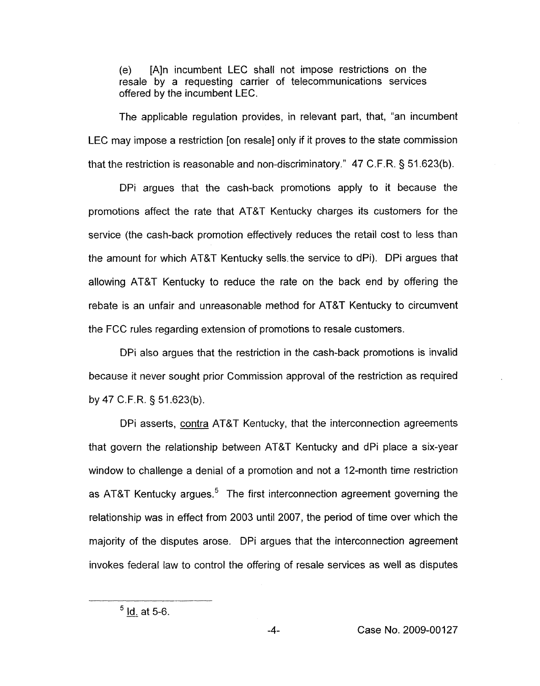(e) [A]n incumbent LEC shall not impose restrictions on the resale by a requesting carrier of telecommunications services offered by the incumbent LEC.

The applicable regulation provides, in relevant part, that, "an incumbent LEC may impose a restriction [on resale] only if it proves to the state commission that the restriction is reasonable and non-discriminatory." 47 C.F.R. § 51.623(b).

DPi argues that the cash-back promotions apply to it because the promotions affect the rate that AT&T Kentucky charges its customers for the service (the cash-back promotion effectively reduces the retail cost to less than the amount for which AT&T Kentucky sells. the service to dPi). DPi argues that allowing AT&T Kentucky to reduce the rate on the back end by offering the rebate is an unfair and unreasonable method for AT&T Kentucky to circumvent the FCC rules regarding extension of promotions to resale customers.

DPi also argues that the restriction in the cash-back promotions is invalid because it never sought prior Commission approval of the restriction as required by 47 C.F.R. 5 51.623(b).

DPi asserts, contra AT&T Kentucky, that the interconnection agreements that govern the relationship between AT&T Kentucky and dPi place a six-year window to challenge a denial of a promotion and not a 12-month time restriction as AT&T Kentucky argues.<sup>5</sup> The first interconnection agreement governing the relationship was in effect from 2003 until 2007, the period of time over which the majority of the disputes arose. DPi argues that the interconnection agreement invokes federal law to control the offering of resale services as well as disputes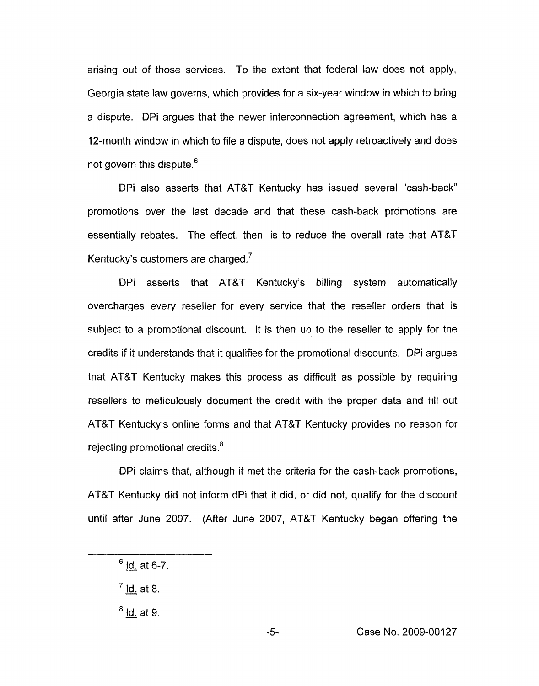arising out of those services. To the extent that federal law does not apply, Georgia state law governs, which provides for a six-year window in which to bring a dispute. DPi argues that the newer interconnection agreement, which has a 12-month window in which to file a dispute, does not apply retroactively and does not govern this dispute.<sup>6</sup>

DPi also asserts that AT&T Kentucky has issued several "cash-back" promotions over the last decade and that these cash-back promotions are essentially rebates. The effect, then, is to reduce the overall rate that AT&T Kentucky's customers are charged.<sup>7</sup>

DPi asserts that AT&T Kentucky's billing system automatically overcharges every reseller for every service that the reseller orders that is subject to a promotional discount. It is then up to the reseller to apply for the credits if it understands that it qualifies for the promotional discounts. DPi argues that AT&T Kentucky makes this process as difficult as possible by requiring resellers to meticulously document the credit with the proper data and fill out AT&T Kentucky's online forms and that AT&T Kentucky provides no reason for rejecting promotional credits.<sup>8</sup>

DPi claims that, although it met the criteria for the cash-back promotions, AT&T Kentucky did not inform dPi that it did, or did not, qualify for the discount until after June 2007. (After June 2007, AT&T Kentucky began offering the

<sup>7</sup> <u>Id.</u> at 8.<br><sup>8</sup> <u>Id.</u> at 9.

 $6$  Id. at 6-7.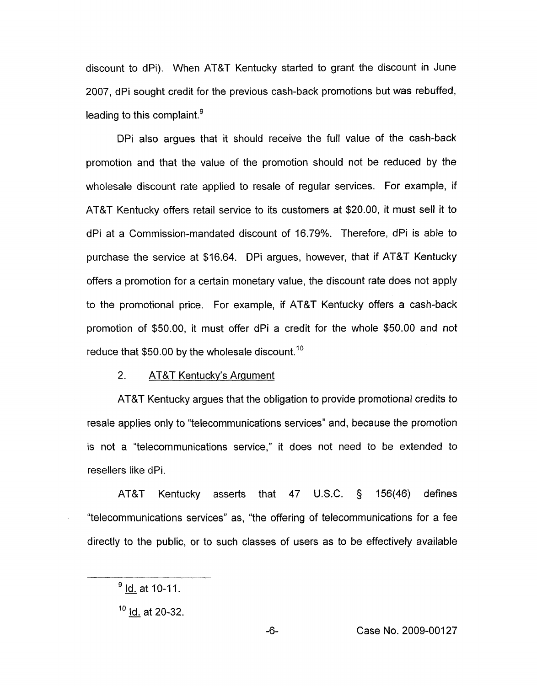discount to dPi). When AT&T Kentucky started to grant the discount in June 2007, dPi sought credit for the previous cash-back promotions but was rebuffed, leading to this complaint. $<sup>9</sup>$ </sup>

DPi also argues that it should receive the full value of the cash-back promotion and that the value of the promotion should not be reduced by the wholesale discount rate applied to resale of regular services. For example, if AT&T Kentucky offers retail service to its customers at \$20.00, it must sell it to dPi at a Commission-mandated discount of 16.79%. Therefore, dPi is able to purchase the service at \$16.64. DPi argues, however, that if AT&T Kentucky offers a promotion for a certain monetary value, the discount rate does not apply to the promotional price. For example, if AT&T Kentucky offers a cash-back promotion of \$50.00, it must offer dPi a credit for the whole \$50.00 and not reduce that \$50.00 by the wholesale discount.<sup>10</sup>

## 2. AT&T Kentuckv's Argument

AT&T Kentucky argues that the obligation to provide promotional credits to resale applies only to "telecommunications services'' and, because the promotion is not a "telecommunications service," it does not need to be extended to resellers like dPi.

AT&T Kentucky asserts that 47 U.S.C. 5 156(46) defines "telecommunications services" as, "the offering of telecommunications for a fee directly to the public, or to such classes of users as to be effectively available

<sup>&</sup>lt;u>ld.</u> at 10-11.

<sup>&#</sup>x27;\* - Id. at 20-32.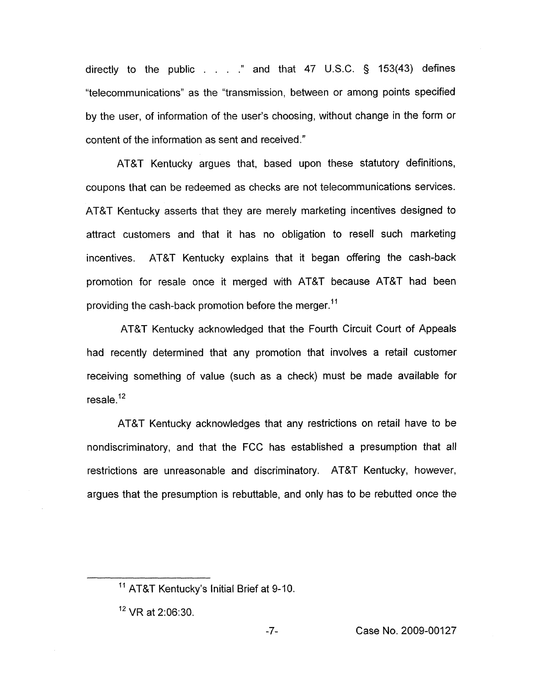directly to the public . . . **.'I** and that 47 U.S.C. § 153(43) defines "telecommunications" as the "transmission, between or among points specified by the user, of information of the user's choosing, without change in the form or content of the information as sent and received."

AT&T Kentucky argues that, based upon these statutory definitions, coupons that can be redeemed as checks are not telecommunications services. AT&T Kentucky asserts that they are merely marketing incentives designed to attract customers and that it has no obligation to resell such marketing incentives. AT&T Kentucky explains that it began offering the cash-back promotion for resale once it merged with AT&T because AT&T had been providing the cash-back promotion before the merger.<sup>11</sup>

AT&T Kentucky acknowledged that the Fourth Circuit Court of Appeals had recently determined that any promotion that involves a retail customer receiving something of value (such as a check) must be made available for  $resale<sup>12</sup>$ 

AT&T Kentucky acknowledges that any restrictions on retail have to be nondiscriminatory, and that the FCC has established a presumption that all restrictions are unreasonable and discriminatory. AT&T Kentucky, however, argues that the presumption is rebuttable, and only has to be rebutted once the

<sup>&</sup>lt;sup>11</sup> AT&T Kentucky's Initial Brief at 9-10.

 $12$  VR at 2:06:30.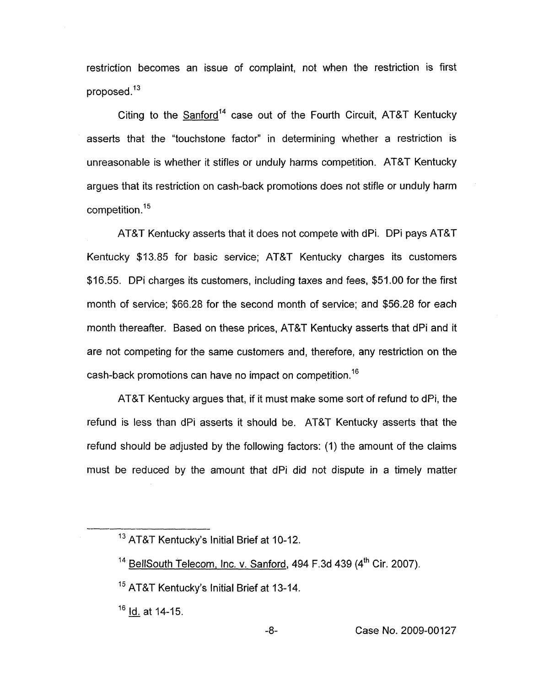restriction becomes an issue of complaint, not when the restriction is first proposed.13

Citing to the Sanford<sup>14</sup> case out of the Fourth Circuit, AT&T Kentucky asserts that the "touchstone factor" in determining whether a restriction is unreasonable is whether it stifles or unduly harms competition. AT&T Kentucky argues that its restriction on cash-back promotions does not stifle or unduly harm  $competition.<sup>15</sup>$ 

AT&T Kentucky asserts that it does not compete with dPi. DPi pays AT&T Kentucky \$13.85 for basic service; AT&T Kentucky charges its customers \$16.55. DPi charges its customers, including taxes and fees, \$51.00 for the first month of service; \$66.28 for the second month of service; and \$56.28 for each month thereafter. Based on these prices, AT&T Kentucky asserts that dPi and it are not competing for the same customers and, therefore, any restriction on the cash-back promotions can have no impact on competition.<sup>16</sup>

AT&T Kentucky argues that, if it must make some sort of refund to dPi, the refund is less than dPi asserts it should be. AT&T Kentucky asserts that the refund should be adjusted by the following factors: (1) the amount of the claims must be reduced by the amount that dPi did not dispute in a timely matter

<sup>&</sup>lt;sup>13</sup> AT&T Kentucky's Initial Brief at 10-12.

<sup>&</sup>lt;sup>14</sup> BellSouth Telecom, Inc. v. Sanford, 494 F.3d 439 (4<sup>th</sup> Cir. 2007).

<sup>&</sup>lt;sup>15</sup> AT&T Kentucky's Initial Brief at 13-14.

<sup>&</sup>lt;sup>16</sup> **Id. at 14-15.**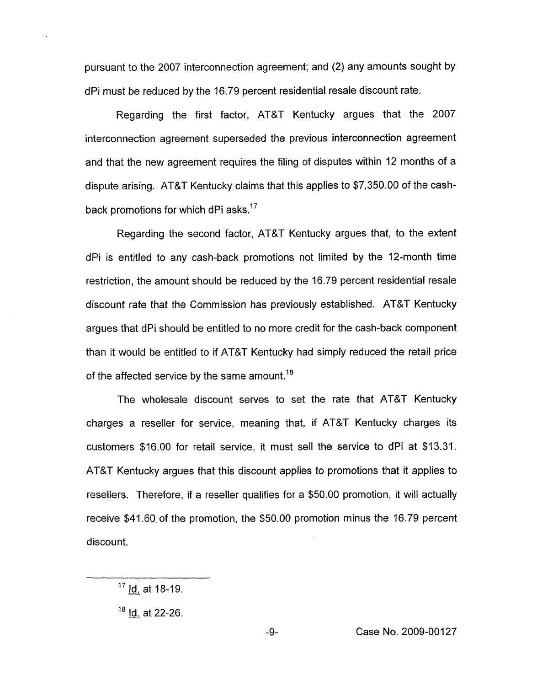pursuant to the 2007 interconnection agreement; and (2) any amounts sought by dPi must be reduced by the 16.79 percent residential resale discount rate.

Regarding the first factor, AT&T Kentucky argues that the 2007 interconnection agreement superseded the previous interconnection agreement and that the new agreement requires the filing of disputes within 12 months of a dispute arising. AT&T Kentucky claims that this applies to \$7,350.00 of the cashback promotions for which dPi asks.<sup>17</sup>

Regarding the second factor, AT&T Kentucky argues that, to the extent dPi is entitled to any cash-back promotions not limited by the 12-month time restriction, the amount should be reduced by the 16.79 percent residential resale discount rate that the Commission has previously established. AT&T Kentucky argues that dPi should be entitled to no more credit for the cash-back component than it would be entitled to if AT&T Kentucky had simply reduced the retail price of the affected service by the same amount.<sup>18</sup>

The wholesale discount serves to set the rate that AT&T Kentucky charges a reseller for service, meaning that, if AT&T Kentucky charges its customers \$16.00 for retail service, it must sell the service to dPi at \$13.31. AT&T Kentucky argues that this discount applies to promotions that it applies to resellers. Therefore, if a reseller qualifies for a \$50.00 promotion, it will actually receive \$41.60, of the promotion, the \$50.00 promotion minus the 16.79 percent discount.

<sup>17 &</sup>lt;u>Id.</u> at 18-19. <sup>17</sup> <u>ld.</u> at 18-19.<br><sup>18</sup> l<u>d.</u> at 22-26.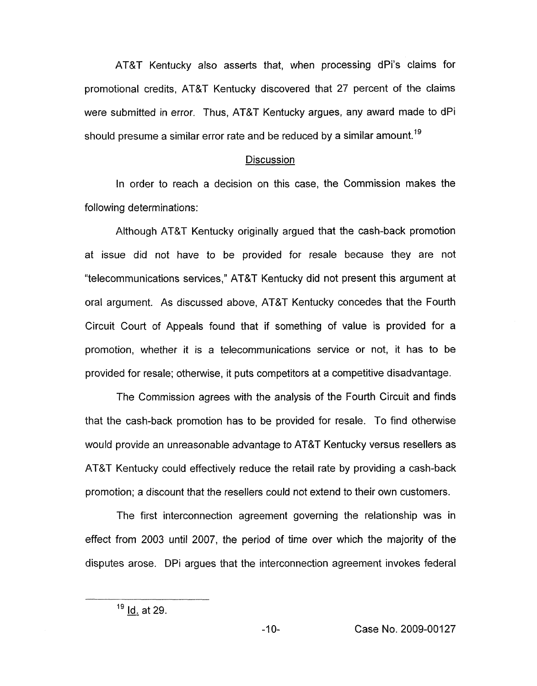AT&T Kentucky also asserts that, when processing dPi's claims for promotional credits, AT&T Kentucky discovered that 27 percent of the claims were submitted in error. Thus, AT&T Kentucky argues, any award made to dPi should presume a similar error rate and be reduced by a similar amount.<sup>19</sup>

#### **Discussion**

In order to reach a decision on this case, the Commission makes the following determinations:

Although AT&T Kentucky originally argued that the cash-back promotion at issue did not have to be provided for resale because they are not "telecommunications services," AT&T Kentucky did not present this argument at oral argument. As discussed above, AT&T Kentucky concedes that the Fourth Circuit Court of Appeals found that if something of value is provided for a promotion, whether it is a telecommunications service or not, it has to be provided for resale; otherwise, it puts competitors at a competitive disadvantage.

The Commission agrees with the analysis of the Fourth Circuit and finds that the cash-back promotion has to be provided for resale. To find otherwise would provide an unreasonable advantage to AT&T Kentucky versus resellers as AT&T Kentucky could effectively reduce the retail rate by providing a cash-back promotion; a discount that the resellers could not extend to their own customers.

The first interconnection agreement governing the relationship was in effect from 2003 until 2007, the period of time over which the majority of the disputes arose. DPi argues that the interconnection agreement invokes federal

 $19$  Id. at 29.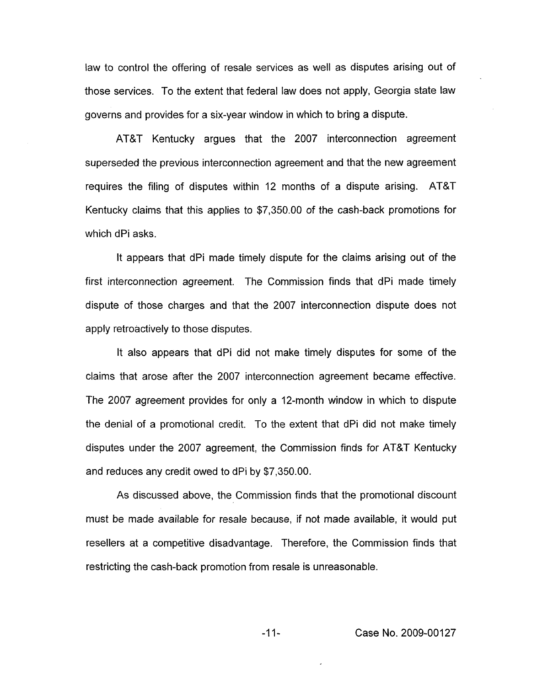law to control the offering of resale services as well as disputes arising out of those services. To the extent that federal law does not apply, Georgia state law governs and provides for a six-year window in which to bring a dispute.

AT&T Kentucky argues that the 2007 interconnection agreement superseded the previous interconnection agreement and that the new agreement requires the filing of disputes within 12 months of a dispute arising. AT&T Kentucky claims that this applies to \$7,350.00 *of* the cash-back promotions for which dPi asks.

It appears that dPi made timely dispute for the claims arising out of the first interconnection agreement. The Commission finds that dPi made timely dispute of those charges and that the 2007 interconnection dispute does not apply retroactively to those disputes.

It also appears that dPi did not make timely disputes for some of the claims that arose after the 2007 interconnection agreement became effective. The 2007 agreement provides for only a 12-month window in which to dispute the denial of a promotional credit. To the extent that dPi did not make timely disputes under the 2007 agreement, the Commission finds for AT&T Kentucky and reduces any credit owed to dPi by \$7,350.00.

As discussed above, the Commission finds that the promotional discount must be made available for resale because, if not made available, it would put resellers at a competitive disadvantage. Therefore, the Commission finds that restricting the cash-back promotion from resale is unreasonable.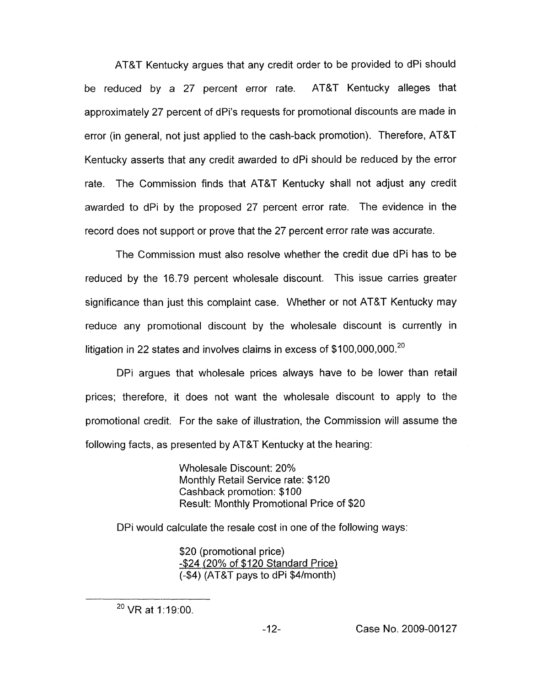AT&T Kentucky argues that any credit order to be provided to dPi should be reduced by a 27 percent error rate. AT&T Kentucky alleges that approximately 27 percent of dPi's requests for promotional discounts are made in error (in general, not just applied to the cash-back promotion). Therefore, AT&T Kentucky asserts that any credit awarded to dPi should be reduced by the error rate. The Commission finds that AT&T Kentucky shall not adjust any credit awarded to dPi by the proposed 27 percent error rate. The evidence in the record does not support or prove that the 27 percent error rate was accurate.

The Commission must also resolve whether the credit due dPi has to be reduced by the 16.79 percent wholesale discount. This issue carries greater significance than just this complaint case. Whether or not AT&T Kentucky may reduce any promotional discount by the wholesale discount is currently in litigation in 22 states and involves claims in excess of  $$100,000,000.<sup>20</sup>$ 

DPi argues that wholesale prices always have to be lower than retail prices; therefore, it does not want the wholesale discount to apply to the promotional credit. For the sake of illustration, the Commission will assume the following facts, as presented by AT&T Kentucky at the hearing:

> Wholesale Discount: 20% Monthly Retail Service rate: \$120 Cashback promotion: \$100 Result: Monthly Promotional Price of \$20

DPi would calculate the resale cost in one of the following ways:

\$20 (promotional price) 424 (20% of \$120 Standard Price) (44) (AT&T pays to dPi \$4/month)

 $^{20}$  VR at 1:19:00.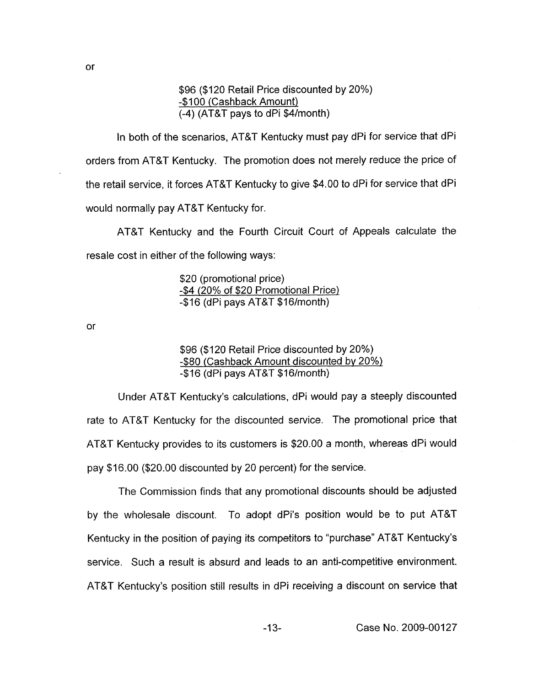\$96 (\$120 Retail Price discounted by 20%) -\$IO0 (Cashback Amount) (-4) (AT&T pays to dPi \$4/month)

In both of the scenarios, AT&T Kentucky must pay dPi for service that dPi orders from AT&T Kentucky. The promotion does not merely reduce the price of the retail service, it forces AT&T Kentucky to give \$4.00 to dPi for service that dPi would normally pay AT&T Kentucky for.

AT&T Kentucky and the Fourth Circuit Court of Appeals calculate the resale cost in either of the following ways:

> \$20 (promotional price) -\$4 (20% of \$20 Promotional Price) -\$I6 (dPi pays AT&T \$16/month)

or

\$96 (\$120 Retail Price discounted by 20%) -\$80 (Cashback Amount discounted bv 20%) -\$I6 (dPi pays AT&T \$16/month)

Under AT&T Kentucky's calculations, dPi would pay a steeply discounted rate to AT&T Kentucky for the discounted service. The promotional price that AT&T Kentucky provides to its customers *is* \$20.00 a month, whereas dPi would pay \$16.00 (\$20.00 discounted by 20 percent) for the service.

The Commission finds that any promotional discounts should be adjusted by the wholesale discount. To adopt dPi's position would be to put AT&T Kentucky in the position of paying its competitors to "purchase" AT&T Kentucky's service. Such a result is absurd and leads to an anti-competitive environment. AT&T Kentucky's position still results in dPi receiving a discount on service that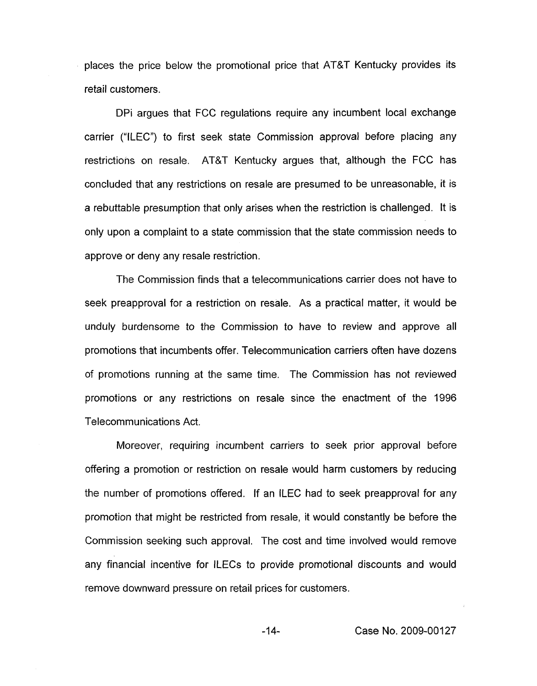places the price below the promotional price that AT&T Kentucky provides its retail customers.

DPi argues that FCC regulations require any incumbent local exchange carrier ("ILEC") to first seek state Commission approval before placing any restrictions on resale. AT&T Kentucky argues that, although the FCC has concluded that any restrictions on resale are presumed to be unreasonable, it is a rebuttable presumption that only arises when the restriction is challenged. It is only upon a complaint to a state commission that the state commission needs to approve or deny any resale restriction.

The Commission finds that a telecommunications carrier does not have to seek preapproval for a restriction on resale. As a practical matter, it would be unduly burdensome to the Commission to have to review and approve all promotions that incumbents offer. Telecommunication carriers often have dozens of promotions running at the same time. The Commission has not reviewed promotions or any restrictions on resale since the enactment of the 1996 Telecommunications Act.

Moreover, requiring incumbent carriers to seek prior approval before offering a promotion or restriction on resale would harm customers by reducing the number of promotions offered. If an ILEC had to seek preapproval for any promotion that might be restricted from resale, it would constantly be before the Commission seeking such approval. The cost and time involved would remove any financial incentive for ILECs to provide promotional discounts and would remove downward pressure on retail prices for customers.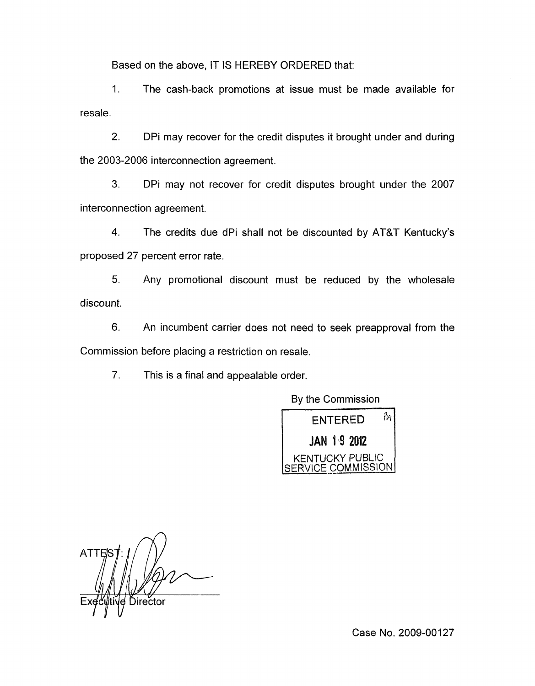Based on the above, IT **IS** HEREBY ORDERED that:

1. The cash-back promotions at issue must be made available for resale.

2. DPi may recover for the credit disputes it brought under and during the 2003-2006 interconnection agreement.

3. DPi may not recover for credit disputes brought under the 2007 interconnection agreement.

**4.** The credits due dPi shall not be discounted by AT&T Kentucky's proposed 27 percent error rate.

5. Any promotional discount must be reduced by the wholesale discount.

6. An incumbent carrier does not need to seek preapproval from the Commission before placing a restriction on resale.

7. This is a final and appealable order.

By the Commission



**ATTES** Director

Case No. 2009-00127